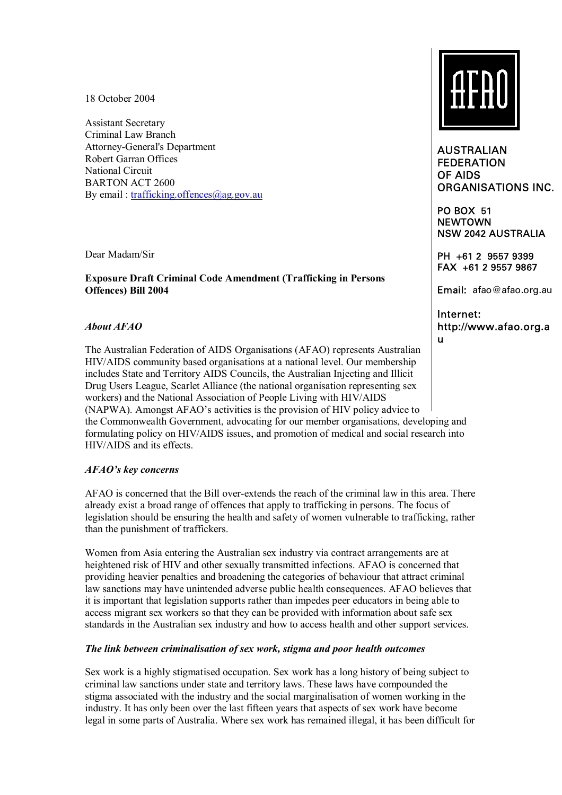18 October 2004

Assistant Secretary Criminal Law Branch Attorney-General's Department Robert Garran Offices National Circuit BARTON ACT 2600 By email :  $\text{trafficking.}$  offences  $\textcircled{a}$  ag.gov.au

Dear Madam/Sir

### **Exposure Draft Criminal Code Amendment (Trafficking in Persons Offences) Bill 2004**

# *About AFAO*

The Australian Federation of AIDS Organisations (AFAO) represents Australian HIV/AIDS community based organisations at a national level. Our membership includes State and Territory AIDS Councils, the Australian Injecting and Illicit Drug Users League, Scarlet Alliance (the national organisation representing sex workers) and the National Association of People Living with HIV/AIDS (NAPWA). Amongst AFAO's activities is the provision of HIV policy advice to the Commonwealth Government, advocating for our member organisations, developing and formulating policy on HIV/AIDS issues, and promotion of medical and social research into HIV/AIDS and its effects.

# *AFAOís key concerns*

AFAO is concerned that the Bill over-extends the reach of the criminal law in this area. There already exist a broad range of offences that apply to trafficking in persons. The focus of legislation should be ensuring the health and safety of women vulnerable to trafficking, rather than the punishment of traffickers.

Women from Asia entering the Australian sex industry via contract arrangements are at heightened risk of HIV and other sexually transmitted infections. AFAO is concerned that providing heavier penalties and broadening the categories of behaviour that attract criminal law sanctions may have unintended adverse public health consequences. AFAO believes that it is important that legislation supports rather than impedes peer educators in being able to access migrant sex workers so that they can be provided with information about safe sex standards in the Australian sex industry and how to access health and other support services.

### *The link between criminalisation of sex work, stigma and poor health outcomes*

Sex work is a highly stigmatised occupation. Sex work has a long history of being subject to criminal law sanctions under state and territory laws. These laws have compounded the stigma associated with the industry and the social marginalisation of women working in the industry. It has only been over the last fifteen years that aspects of sex work have become legal in some parts of Australia. Where sex work has remained illegal, it has been difficult for



AUSTRALIAN FEDERATION OF AIDS ORGANISATIONS INC.

PO BOX 51 **NEWTOWN** NSW 2042 AUSTRALIA

PH +61 2 9557 9399 FAX +61 2 9557 9867

Email: afao@afao.org.au

Internet: http://www.afao.org.a u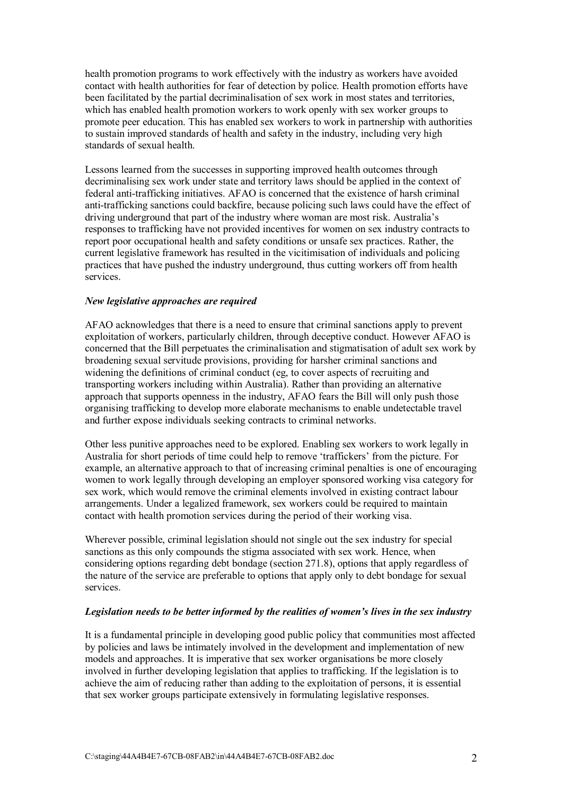health promotion programs to work effectively with the industry as workers have avoided contact with health authorities for fear of detection by police. Health promotion efforts have been facilitated by the partial decriminalisation of sex work in most states and territories, which has enabled health promotion workers to work openly with sex worker groups to promote peer education. This has enabled sex workers to work in partnership with authorities to sustain improved standards of health and safety in the industry, including very high standards of sexual health.

Lessons learned from the successes in supporting improved health outcomes through decriminalising sex work under state and territory laws should be applied in the context of federal anti-trafficking initiatives. AFAO is concerned that the existence of harsh criminal anti-trafficking sanctions could backfire, because policing such laws could have the effect of driving underground that part of the industry where woman are most risk. Australia's responses to trafficking have not provided incentives for women on sex industry contracts to report poor occupational health and safety conditions or unsafe sex practices. Rather, the current legislative framework has resulted in the vicitimisation of individuals and policing practices that have pushed the industry underground, thus cutting workers off from health services.

#### *New legislative approaches are required*

AFAO acknowledges that there is a need to ensure that criminal sanctions apply to prevent exploitation of workers, particularly children, through deceptive conduct. However AFAO is concerned that the Bill perpetuates the criminalisation and stigmatisation of adult sex work by broadening sexual servitude provisions, providing for harsher criminal sanctions and widening the definitions of criminal conduct (eg, to cover aspects of recruiting and transporting workers including within Australia). Rather than providing an alternative approach that supports openness in the industry, AFAO fears the Bill will only push those organising trafficking to develop more elaborate mechanisms to enable undetectable travel and further expose individuals seeking contracts to criminal networks.

Other less punitive approaches need to be explored. Enabling sex workers to work legally in Australia for short periods of time could help to remove 'traffickers' from the picture. For example, an alternative approach to that of increasing criminal penalties is one of encouraging women to work legally through developing an employer sponsored working visa category for sex work, which would remove the criminal elements involved in existing contract labour arrangements. Under a legalized framework, sex workers could be required to maintain contact with health promotion services during the period of their working visa.

Wherever possible, criminal legislation should not single out the sex industry for special sanctions as this only compounds the stigma associated with sex work. Hence, when considering options regarding debt bondage (section 271.8), options that apply regardless of the nature of the service are preferable to options that apply only to debt bondage for sexual services.

### Legislation needs to be better informed by the realities of women's lives in the sex industry

It is a fundamental principle in developing good public policy that communities most affected by policies and laws be intimately involved in the development and implementation of new models and approaches. It is imperative that sex worker organisations be more closely involved in further developing legislation that applies to trafficking. If the legislation is to achieve the aim of reducing rather than adding to the exploitation of persons, it is essential that sex worker groups participate extensively in formulating legislative responses.